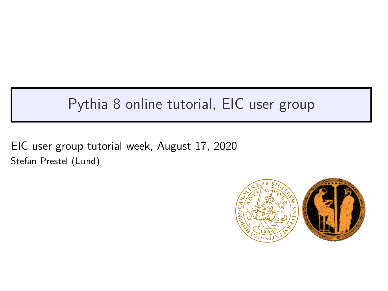## Pythia 8 online tutorial, EIC user group

EIC user group tutorial week, August 17, 2020 Stefan Prestel (Lund)

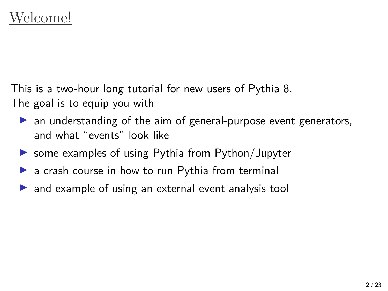This is a two-hour long tutorial for new users of Pythia 8. The goal is to equip you with

- ▶ an understanding of the aim of general-purpose event generators, and what "events" look like
- $\triangleright$  some examples of using Pythia from Python/Jupyter
- ▶ a crash course in how to run Pythia from terminal
- $\triangleright$  and example of using an external event analysis tool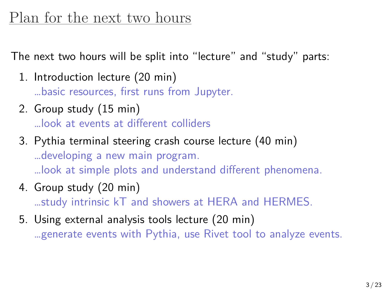### Plan for the next two hours

The next two hours will be split into "lecture" and "study" parts:

- 1. Introduction lecture (20 min) …basic resources, first runs from Jupyter.
- 2. Group study (15 min) …look at events at different colliders
- 3. Pythia terminal steering crash course lecture (40 min) …developing a new main program. …look at simple plots and understand different phenomena.
- 4. Group study (20 min) …study intrinsic kT and showers at HERA and HERMES.
- 5. Using external analysis tools lecture (20 min) …generate events with Pythia, use Rivet tool to analyze events.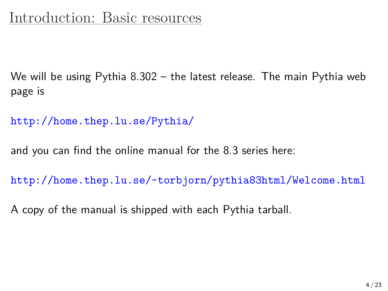## Introduction: Basic resources

We will be using Pythia 8.302 – the latest release. The main Pythia web page is

http://home.thep.lu.se/Pythia/

and you can find the online manual for the 8.3 series here:

http://home.thep.lu.se/~torbjorn/pythia83html/Welcome.html

A copy of the manual is shipped with each Pythia tarball.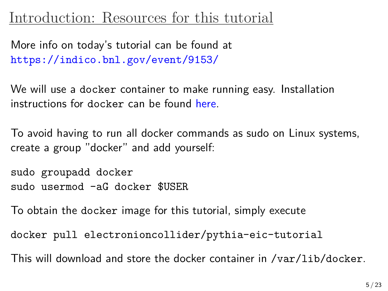#### Introduction: Resources for this tutorial

More info on today's tutorial can be found at https://indico.bnl.gov/event/9153/

We will use a docker container to make running easy. Installation instructions for docker can be found here.

To avoid having to run all docker commands as sudo on Linux systems, create a group "docker" and add yourself:

sudo groupadd docker sudo usermod -aG docker \$USER

To obtain the docker image for this tutorial, simply execute

docker pull electronioncollider/pythia-eic-tutorial

This will download and store the docker container in /var/lib/docker.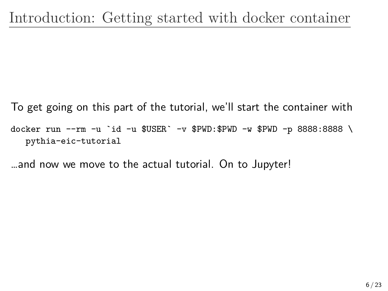To get going on this part of the tutorial, we'll start the container with docker run --rm -u `id -u \$USER` -v \$PWD:\$PWD -w \$PWD -p 8888:8888 \ pythia-eic-tutorial

…and now we move to the actual tutorial. On to Jupyter!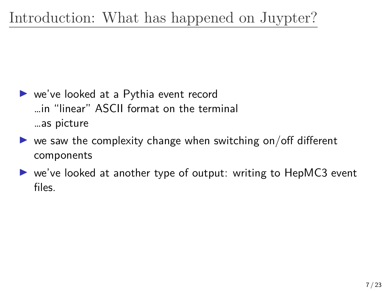# Introduction: What has happened on Juypter?

- ▶ we've looked at a Pythia event record …in "linear" ASCII format on the terminal …as picture
- $\triangleright$  we saw the complexity change when switching on/off different components
- ▶ we've looked at another type of output: writing to HepMC3 event files.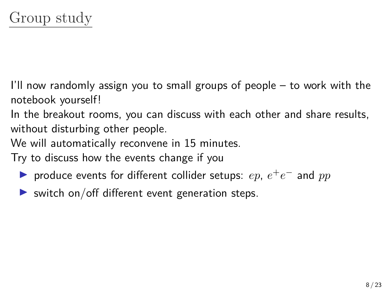I'll now randomly assign you to small groups of people – to work with the notebook yourself!

In the breakout rooms, you can discuss with each other and share results, without disturbing other people.

We will automatically reconvene in 15 minutes.

Try to discuss how the events change if you

- ▶ produce events for different collider setups:  $ep$ ,  $e^+e^-$  and  $pp$
- $\triangleright$  switch on/off different event generation steps.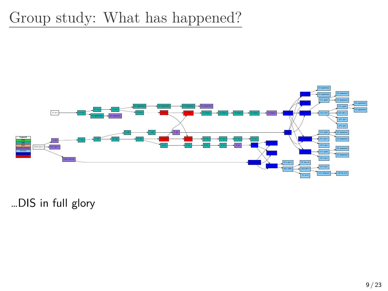

…DIS in full glory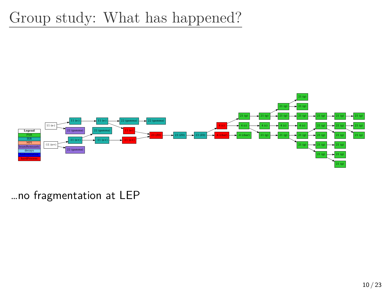

…no fragmentation at LEP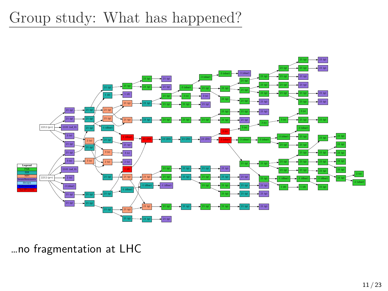

…no fragmentation at LHC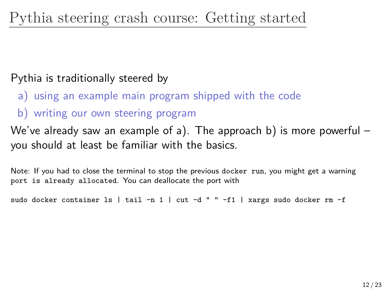#### Pythia is traditionally steered by

- a) using an example main program shipped with the code
- b) writing our own steering program

We've already saw an example of a). The approach b) is more powerful – you should at least be familiar with the basics.

Note: If you had to close the terminal to stop the previous docker run, you might get a warning port is already allocated. You can deallocate the port with

sudo docker container  $ls$  | tail -n 1 | cut -d " " -f1 | xargs sudo docker rm -f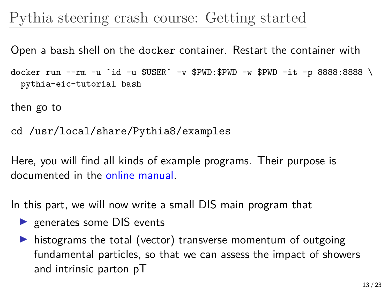#### Pythia steering crash course: Getting started

Open a bash shell on the docker container. Restart the container with

docker run --rm -u `id -u \$USER` -v \$PWD:\$PWD -w \$PWD -it -p 8888:8888 \ pythia-eic-tutorial bash

then go to

cd /usr/local/share/Pythia8/examples

Here, you will find all kinds of example programs. Their purpose is documented in the online manual.

In this part, we will now write a small DIS main program that

- ▶ generates some DIS events
- ▶ histograms the total (vector) transverse momentum of outgoing fundamental particles, so that we can assess the impact of showers and intrinsic parton pT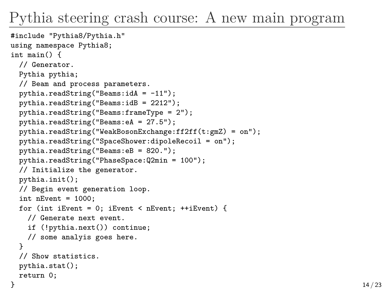```
#include "Pythia8/Pythia.h"
using namespace Pythia8;
int main() {
 // Generator.
 Pythia pythia;
 // Beam and process parameters.
 pythia.readString("Beams:idA = -11");
 pythia.readString("Beams:idB = 2212");
 pythia.readString("Beams:frameType = 2");
 pythia.readString("Beams:eA = 27.5");
 pythia.readString("WeakBosonExchange:ff2ff(t:gmZ) = on");
 pythia.readString("SpaceShower:dipoleRecoil = on");
 pythia.readString("Beams:eB = 820.");
 pythia.readString("PhaseSpace:Q2min = 100");
 // Initialize the generator.
 pythia.init();
 // Begin event generation loop.
 int nEvent = 1000:
 for (int iEvent = 0; iEvent < nEvent; ++iEvent) {
    // Generate next event.
    if (!pythia.next()) continue;
    // some analyis goes here.
  }
 // Show statistics.
 pythia.stat();
 return 0;
```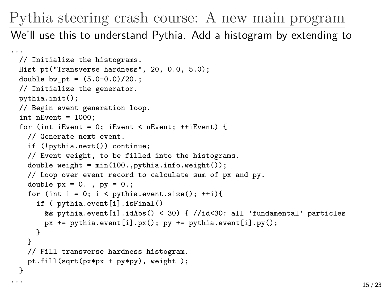We'll use this to understand Pythia. Add a histogram by extending to

```
...
 // Initialize the histograms.
 Hist pt("Transverse hardness", 20, 0.0, 5.0);
 double bw_{pt} = (5.0-0.0)/20.;
 // Initialize the generator.
 pythia.init();
 // Begin event generation loop.
 int nEvent = 1000:
 for (int iEvent = 0; iEvent < nEvent: +iEvent) {
   // Generate next event.
   if (!pythia.next()) continue;
   // Event weight, to be filled into the histograms.
   double weight = min(100., pythia.info.weight());
   // Loop over event record to calculate sum of px and py.
   double px = 0., py = 0.;
   for (int i = 0; i < pythia.event.size(); ++i){
     if ( pythia.event[i].isFinal()
       && pythia.event[i].idAbs() < 30) { //id<30: all 'fundamental' particles
       px += pythonythia.event[i].px(); py += pythonythia.event[i].py();
     }
   }
   // Fill transverse hardness histogram.
   pt.fill(sqrt(px*px + py*py), weight );
 }
```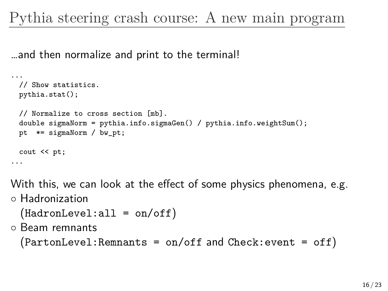…and then normalize and print to the terminal!

```
...
 // Show statistics.
 pythia.stat();
 // Normalize to cross section [mb].
 double sigmaNorm = pythia.info.sigmaGen() / pythia.info.weightSum();
 pt *= sigmaNorm / bw_pt;
 cout << pt;
...
```
With this, we can look at the effect of some physics phenomena, e.g.

*◦* Hadronization

```
◦ (HadronLevel:all = on/off)
```
*◦* Beam remnants

```
◦ (PartonLevel:Remnants = on/off and Check:event = off)
```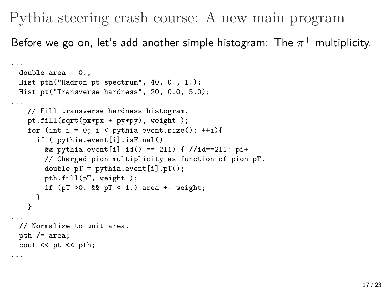Before we go on, let's add another simple histogram: The  $\pi^+$  multiplicity.

```
...
 double area = 0.;
 Hist pth("Hadron pt-spectrum", 40, 0., 1.);
 Hist pt("Transverse hardness", 20, 0.0, 5.0);
...
   // Fill transverse hardness histogram.
   pt.fill(sqrt(px*px + py*py), weight );
   for (int i = 0; i < pythia.event.size(); ++i){
     if ( pythia.event[i].isFinal()
       && pythia.event[i].id() == 211) { //id==211: pi+// Charged pion multiplicity as function of pion pT.
       double pT = pythia.event[i].pT();
       pth.fill(pT, weight );
       if (pT > 0. & pT < 1.) area += weight;
     }
   }
...
 // Normalize to unit area.
 pth /= area;
 cout << pt << pth;
...
```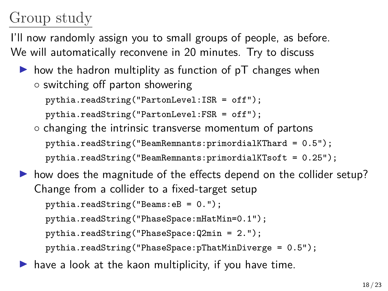## Group study

I'll now randomly assign you to small groups of people, as before. We will automatically reconvene in 20 minutes. Try to discuss

 $\triangleright$  how the hadron multiplity as function of pT changes when *◦* switching off parton showering

```
pythia.readString("PartonLevel:ISR = off");
```

```
pythia.readString("PartonLevel:FSR = off");
```
*◦* changing the intrinsic transverse momentum of partons pythia.readString("BeamRemnants:primordialKThard = 0.5"); pythia.readString("BeamRemnants:primordialKTsoft = 0.25");

 $\triangleright$  how does the magnitude of the effects depend on the collider setup? Change from a collider to a fixed-target setup pythia.readString("Beams:eB = 0."); pythia.readString("PhaseSpace:mHatMin=0.1"); pythia.readString("PhaseSpace:Q2min = 2."); pythia.readString("PhaseSpace:pThatMinDiverge = 0.5");

 $\blacktriangleright$  have a look at the kaon multiplicity, if you have time.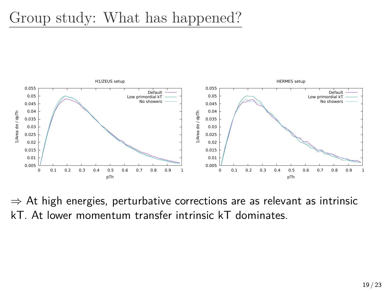

*⇒* At high energies, perturbative corrections are as relevant as intrinsic kT. At lower momentum transfer intrinsic kT dominates.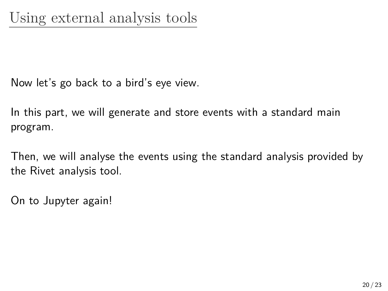Now let's go back to a bird's eye view.

In this part, we will generate and store events with a standard main program.

Then, we will analyse the events using the standard analysis provided by the Rivet analysis tool.

On to Jupyter again!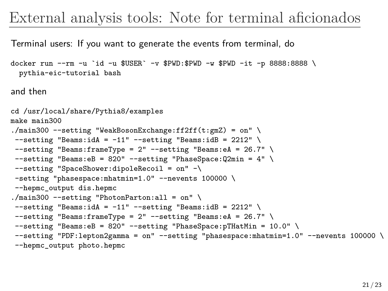### External analysis tools: Note for terminal aficionados

Terminal users: If you want to generate the events from terminal, do

```
docker run --rm -u `id -u $USER` -v $PWD:$PWD -u $PWD -it -p 8888:8888 \
 pythia-eic-tutorial bash
```
and then

```
cd /usr/local/share/Pythia8/examples
make main300
./main300 --setting "WeakBosonExchange:ff2ff(t:gmZ) = on" \
--setting "Beams:idA = -11" --setting "Beams:idB = 2212" \
--setting "Beams:frameType = 2" --setting "Beams:eA = 26.7" \
--setting "Beams:eB = 820" --setting "PhaseSpace:Q2min = 4" \
--setting "SpaceShower:dipoleRecoil = on" -\
-setting "phasespace:mhatmin=1.0" --nevents 100000 \
--hepmc_output dis.hepmc
./main300 --setting "PhotonParton:all = on" \
--setting "Beams:idA = -11" --setting "Beams:idB = 2212" \
--setting "Beams:frameType = 2" --setting "Beams:eA = 26.7" \
--setting "Beams:eB = 820" --setting "PhaseSpace:pTHatMin = 10.0" \
--setting "PDF:lepton2gamma = on" --setting "phasespace:mhatmin=1.0" --nevents 100000 \
--hepmc_output photo.hepmc
```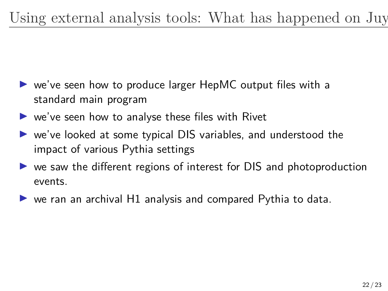- ▶ we've seen how to produce larger HepMC output files with a standard main program
- ▶ we've seen how to analyse these files with Rivet
- ▶ we've looked at some typical DIS variables, and understood the impact of various Pythia settings
- ▶ we saw the different regions of interest for DIS and photoproduction events.
- $\triangleright$  we ran an archival H1 analysis and compared Pythia to data.